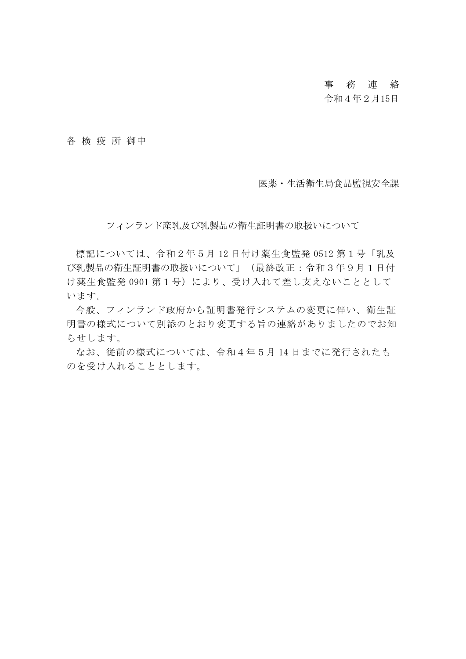# 事 務 連 絡

### 令和4年2月15日

各 検 疫 所 御中

医薬・生活衛生局食品監視安全課

フィンランド産乳及び乳製品の衛生証明書の取扱いについて

標記については、令和2年5月 12 日付け薬生食監発 0512 第1号「乳及 び乳製品の衛生証明書の取扱いについて」(最終改正:令和3年9月1日付 け薬生食監発 0901 第1号)により、受け入れて差し支えないこととして います。

今般、フィンランド政府から証明書発行システムの変更に伴い、衛生証 明書の様式について別添のとおり変更する旨の連絡がありましたのでお知 らせします。

なお、従前の様式については、令和4年5月 14 日までに発行されたも のを受け入れることとします。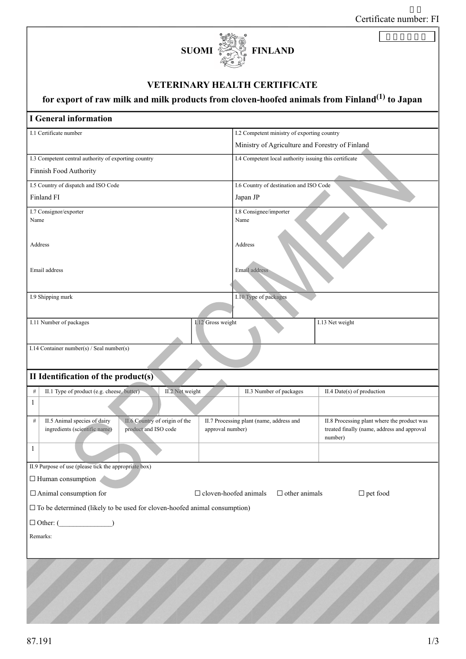| Certificate number: FI |
|------------------------|
|------------------------|



### VETERINARY HEALTH CERTIFICATE

# for export of raw milk and milk products from cloven-hoofed animals from Finland<sup>(1)</sup> to Japan

| for export of raw mink and mink products from cloven-mooted animals from Finiand Mo Japan |                                                 |                                                        |  |  |
|-------------------------------------------------------------------------------------------|-------------------------------------------------|--------------------------------------------------------|--|--|
| <b>I</b> General information                                                              |                                                 |                                                        |  |  |
| I.1 Certificate number                                                                    |                                                 | I.2 Competent ministry of exporting country            |  |  |
|                                                                                           | Ministry of Agriculture and Forestry of Finland |                                                        |  |  |
| I.3 Competent central authority of exporting country                                      |                                                 | I.4 Competent local authority issuing this certificate |  |  |
| Finnish Food Authority                                                                    |                                                 |                                                        |  |  |
| I.5 Country of dispatch and ISO Code                                                      |                                                 | I.6 Country of destination and ISO Code                |  |  |
| Finland FI                                                                                | Japan JP                                        |                                                        |  |  |
| I.7 Consignor/exporter<br>Name                                                            | Name                                            | I.8 Consignee/importer                                 |  |  |
|                                                                                           |                                                 |                                                        |  |  |
| Address                                                                                   | Address                                         |                                                        |  |  |
|                                                                                           |                                                 |                                                        |  |  |
| Email address                                                                             | Email address                                   |                                                        |  |  |
|                                                                                           |                                                 |                                                        |  |  |
| I.9 Shipping mark                                                                         | I.10 Type of packages                           |                                                        |  |  |
|                                                                                           |                                                 |                                                        |  |  |
| I.11 Number of packages                                                                   | I.12 Gross weight                               | I.13 Net weight                                        |  |  |
|                                                                                           |                                                 |                                                        |  |  |
| I.14 Container number(s) / Seal number(s)                                                 |                                                 |                                                        |  |  |
|                                                                                           |                                                 |                                                        |  |  |
| II Identification of the product(s)                                                       |                                                 |                                                        |  |  |
| II.2 Net weight<br>$\#$<br>II.1 Type of product (e.g. cheese, butter)                     | II.3 Number of packages                         | II.4 Date(s) of production                             |  |  |
| $\mathbf{1}$                                                                              |                                                 |                                                        |  |  |
| II.6 Country of origin of the<br>$\#$<br>II.5 Animal species of dairy                     | II.7 Processing plant (name, address and        | II.8 Processing plant where the product was            |  |  |
| ingredients (scientific name)<br>product and ISO code                                     | approval number)                                | treated finally (name, address and approval<br>number) |  |  |
| $\mathbf{1}$                                                                              |                                                 |                                                        |  |  |
| II.9 Purpose of use (please tick the appropriate box)                                     |                                                 |                                                        |  |  |
| $\Box$ Human consumption                                                                  |                                                 |                                                        |  |  |
| $\Box$ Animal consumption for                                                             | $\Box$ cloven-hoofed animals                    | $\Box$ pet food                                        |  |  |
| $\Box$ other animals                                                                      |                                                 |                                                        |  |  |
| $\square$ To be determined (likely to be used for cloven-hoofed animal consumption)       |                                                 |                                                        |  |  |
|                                                                                           |                                                 |                                                        |  |  |
| Remarks:                                                                                  |                                                 |                                                        |  |  |
|                                                                                           |                                                 |                                                        |  |  |
|                                                                                           |                                                 |                                                        |  |  |
|                                                                                           |                                                 |                                                        |  |  |
|                                                                                           |                                                 |                                                        |  |  |
|                                                                                           |                                                 |                                                        |  |  |
|                                                                                           |                                                 |                                                        |  |  |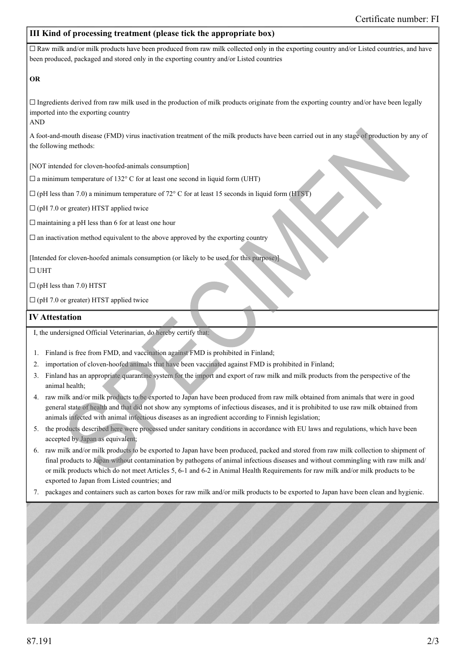### III Kind of processing treatment (please tick the appropriate box)

 $\Box$  Raw milk and/or milk products have been produced from raw milk collected only in the exporting country and/or Listed countries, and have been produced, packaged and stored only in the exporting country and/or Listed countries

#### OR

 $\Box$  Ingredients derived from raw milk used in the production of milk products originate from the exporting country and/or have been legally imported into the exporting country

AND

A foot-and-mouth disease (FMD) virus inactivation treatment of the milk products have been carried out in any stage of production by any of the following methods:

[NOT intended for cloven-hoofed-animals consumption]

 $\square$  a minimum temperature of 132° C for at least one second in liquid form (UHT)

 $\Box$  (pH less than 7.0) a minimum temperature of 72 $\degree$  C for at least 15 seconds in liquid form (HTST)

 $\Box$  (pH 7.0 or greater) HTST applied twice

 $\Box$  maintaining a pH less than 6 for at least one hour

 $\Box$  an inactivation method equivalent to the above approved by the exporting country

[Intended for cloven-hoofed animals consumption (or likely to be used for this purpose)]

#### ☐ UHT

 $\Box$  (pH less than 7.0) HTST

 $\Box$  (pH 7.0 or greater) HTST applied twice

#### IV Attestation

I, the undersigned Official Veterinarian, do hereby certify that:

- Finland is free from FMD, and vaccination against FMD is prohibited in Finland; 1.
- 2. importation of cloven-hoofed animals that have been vaccinated against FMD is prohibited in Finland;
- 3. Finland has an appropriate quarantine system for the import and export of raw milk and milk products from the perspective of the animal health;
- 4. raw milk and/or milk products to be exported to Japan have been produced from raw milk obtained from animals that were in good general state of health and that did not show any symptoms of infectious diseases, and it is prohibited to use raw milk obtained from animals infected with animal infectious diseases as an ingredient according to Finnish legislation;
- 5. the products described here were processed under sanitary conditions in accordance with EU laws and regulations, which have been accepted by Japan as equivalent;
- 6. raw milk and/or milk products to be exported to Japan have been produced, packed and stored from raw milk collection to shipment of final products to Japan without contamination by pathogens of animal infectious diseases and without commingling with raw milk and/ or milk products which do not meet Articles 5, 6-1 and 6-2 in Animal Health Requirements for raw milk and/or milk products to be exported to Japan from Listed countries; and
- packages and containers such as carton boxes for raw milk and/or milk products to be exported to Japan have been clean and hygienic. 7.